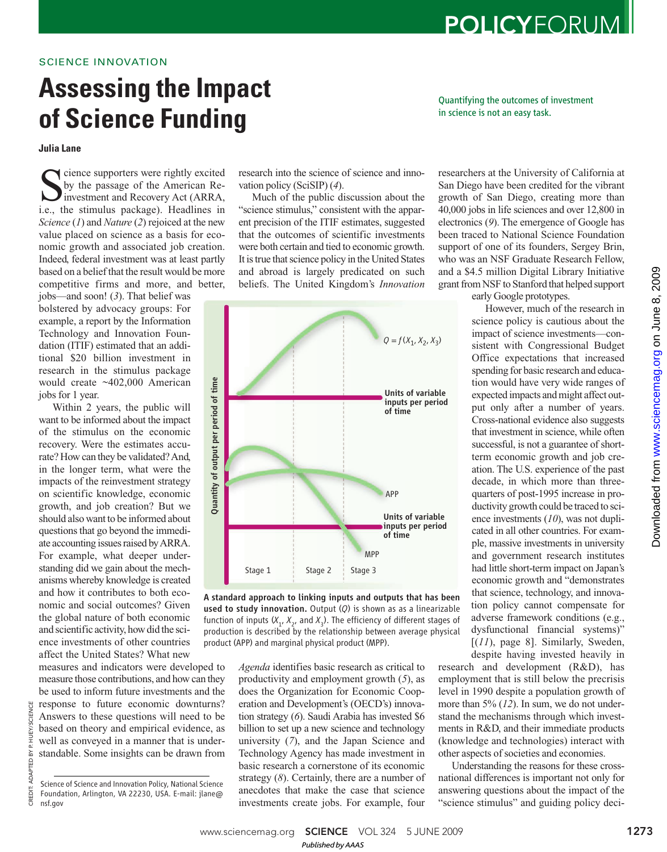# **Assessing the Impact of Science Funding**

**Julia Lane**

Sience supporters were rightly excited<br>by the passage of the American Re-<br>investment and Recovery Act (ARRA,<br>i.e., the stimulus package). Headlines in cience supporters were rightly excited by the passage of the American Reinvestment and Recovery Act (ARRA, *Science* (*1*) and *Nature* (*2*) rejoiced at the new value placed on science as a basis for economic growth and associated job creation. Indeed, federal investment was at least partly based on a belief that the result would be more competitive firms and more, and better,

jobs—and soon! (*3*). That belief was bolstered by advocacy groups: For example, a report by the Information Technology and Innovation Foundation (ITIF) estimated that an additional \$20 billion investment in research in the stimulus package would create ~402,000 American jobs for 1 year.

Within 2 years, the public will want to be informed about the impact of the stimulus on the economic recovery. Were the estimates accurate? How can they be validated? And, in the longer term, what were the impacts of the reinvestment strategy on scientific knowledge, economic growth, and job creation? But we should also want to be informed about questions that go beyond the immediate accounting issues raised by ARRA. For example, what deeper understanding did we gain about the mechanisms whereby knowledge is created and how it contributes to both economic and social outcomes? Given the global nature of both economic and scientific activity, how did the science investments of other countries affect the United States? What new

measures and indicators were developed to measure those contributions, and how can they be used to inform future investments and the response to future economic downturns? Answers to these questions will need to be based on theory and empirical evidence, as well as conveyed in a manner that is understandable. Some insights can be drawn from

CREDIT: ADAPTED BY P. HUEY/SCIENCE

ADAPTED BY

SCIENCE : HUEY/

research into the science of science and innovation policy (SciSIP) (*4*).

Much of the public discussion about the "science stimulus," consistent with the apparent precision of the ITIF estimates, suggested that the outcomes of scientific investments were both certain and tied to economic growth. It is true that science policy in the United States and abroad is largely predicated on such beliefs. The United Kingdom's *Innovation*



A standard approach to linking inputs and outputs that has been used to study innovation. Output (*Q*) is shown as as a linearizable function of inputs  $(X_{1},\,X_{2},\,$  and  $X_{3})$ . The efficiency of different stages of production is described by the relationship between average physical product (APP) and marginal physical product (MPP).

*Agenda* identifies basic research as critical to productivity and employment growth (*5*), as does the Organization for Economic Cooperation and Development's (OECD's) innovation strategy (*6*). Saudi Arabia has invested \$6 billion to set up a new science and technology university (*7*), and the Japan Science and Technology Agency has made investment in basic research a cornerstone of its economic strategy (*8*). Certainly, there are a number of anecdotes that make the case that science investments create jobs. For example, four researchers at the University of California at San Diego have been credited for the vibrant growth of San Diego, creating more than 40,000 jobs in life sciences and over 12,800 in electronics (*9*). The emergence of Google has been traced to National Science Foundation support of one of its founders, Sergey Brin, who was an NSF Graduate Research Fellow, and a \$4.5 million Digital Library Initiative grant from NSF to Stanford that helped support

POLICYFORUM

Quantifying the outcomes of investment

in science is not an easy task.

early Google prototypes.

However, much of the research in science policy is cautious about the impact of science investments—consistent with Congressional Budget Office expectations that increased spending for basic research and education would have very wide ranges of expected impacts and might affect output only after a number of years. Cross-national evidence also suggests that investment in science, while often successful, is not a guarantee of shortterm economic growth and job creation. The U.S. experience of the past decade, in which more than threequarters of post-1995 increase in productivity growth could be traced to science investments (*10*), was not duplicated in all other countries. For example, massive investments in university and government research institutes had little short-term impact on Japan's economic growth and "demonstrates that science, technology, and innovation policy cannot compensate for adverse framework conditions (e.g., dysfunctional financial systems)" [(*11*), page 8]. Similarly, Sweden, despite having invested heavily in

research and development (R&D), has employment that is still below the precrisis level in 1990 despite a population growth of more than 5% (*12*). In sum, we do not understand the mechanisms through which investments in R&D, and their immediate products (knowledge and technologies) interact with other aspects of societies and economies.

Understanding the reasons for these crossnational differences is important not only for answering questions about the impact of the "science stimulus" and guiding policy deci-

Science of Science and Innovation Policy, National Science Foundation, Arlington, VA 22230, USA. E-mail: jlane@ nsf.gov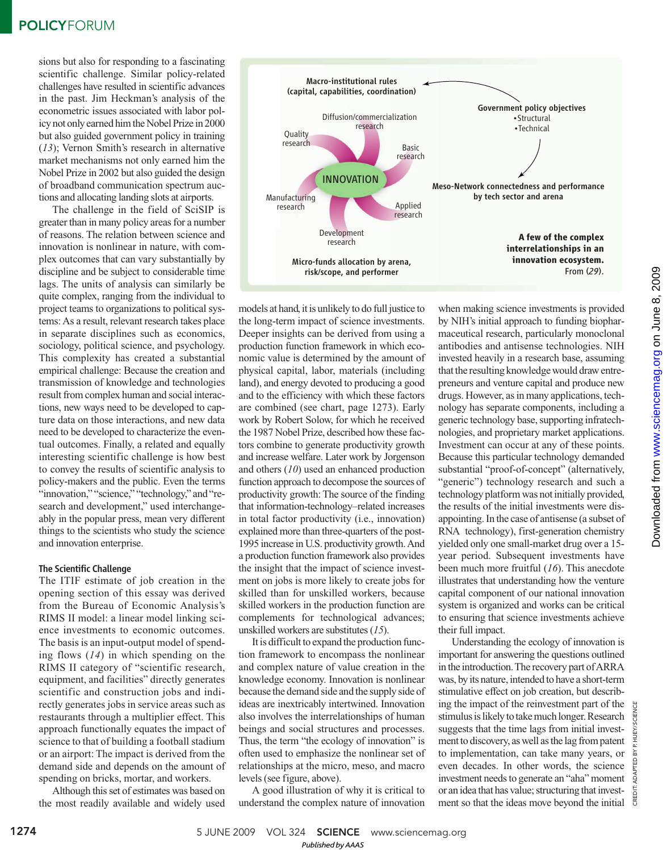# **POLICYFORUM**

sions but also for responding to a fascinating scientific challenge. Similar policy-related challenges have resulted in scientific advances in the past. Jim Heckman's analysis of the econometric issues associated with labor policy not only earned him the Nobel Prize in 2000 but also guided government policy in training (*13*); Vernon Smith's research in alternative market mechanisms not only earned him the Nobel Prize in 2002 but also guided the design of broadband communication spectrum auctions and allocating landing slots at airports.

The challenge in the field of SciSIP is greater than in many policy areas for a number of reasons. The relation between science and innovation is nonlinear in nature, with complex outcomes that can vary substantially by discipline and be subject to considerable time lags. The units of analysis can similarly be quite complex, ranging from the individual to project teams to organizations to political systems: As a result, relevant research takes place in separate disciplines such as economics, sociology, political science, and psychology. This complexity has created a substantial empirical challenge: Because the creation and transmission of knowledge and technologies result from complex human and social interactions, new ways need to be developed to capture data on those interactions, and new data need to be developed to characterize the eventual outcomes. Finally, a related and equally interesting scientific challenge is how best to convey the results of scientific analysis to policy-makers and the public. Even the terms "innovation," "science," "technology," and "research and development," used interchangeably in the popular press, mean very different things to the scientists who study the science and innovation enterprise.

## The Scientific Challenge

The ITIF estimate of job creation in the opening section of this essay was derived from the Bureau of Economic Analysis's RIMS II model: a linear model linking science investments to economic outcomes. The basis is an input-output model of spending flows (*14*) in which spending on the RIMS II category of "scientific research, equipment, and facilities" directly generates scientific and construction jobs and indirectly generates jobs in service areas such as restaurants through a multiplier effect. This approach functionally equates the impact of science to that of building a football stadium or an airport: The impact is derived from the demand side and depends on the amount of spending on bricks, mortar, and workers.

Although this set of estimates was based on the most readily available and widely used



models at hand, it is unlikely to do full justice to the long-term impact of science investments. Deeper insights can be derived from using a production function framework in which economic value is determined by the amount of physical capital, labor, materials (including land), and energy devoted to producing a good and to the efficiency with which these factors are combined (see chart, page 1273). Early work by Robert Solow, for which he received the 1987 Nobel Prize, described how these factors combine to generate productivity growth and increase welfare. Later work by Jorgenson and others (*10*) used an enhanced production function approach to decompose the sources of productivity growth: The source of the finding that information-technology–related increases in total factor productivity (i.e., innovation) explained more than three-quarters of the post-1995 increase in U.S. productivity growth. And a production function framework also provides the insight that the impact of science investment on jobs is more likely to create jobs for skilled than for unskilled workers, because skilled workers in the production function are complements for technological advances; unskilled workers are substitutes (*15*).

It is difficult to expand the production function framework to encompass the nonlinear and complex nature of value creation in the knowledge economy. Innovation is nonlinear because the demand side and the supply side of ideas are inextricably intertwined. Innovation also involves the interrelationships of human beings and social structures and processes. Thus, the term "the ecology of innovation" is often used to emphasize the nonlinear set of relationships at the micro, meso, and macro levels (see figure, above).

A good illustration of why it is critical to understand the complex nature of innovation

when making science investments is provided by NIH's initial approach to funding biopharmaceutical research, particularly monoclonal antibodies and antisense technologies. NIH invested heavily in a research base, assuming that the resulting knowledge would draw entrepreneurs and venture capital and produce new drugs. However, as in many applications, technology has separate components, including a generic technology base, supporting infratechnologies, and proprietary market applications. Investment can occur at any of these points. Because this particular technology demanded substantial "proof-of-concept" (alternatively, "generic") technology research and such a technology platform was not initially provided, the results of the initial investments were disappointing. In the case of antisense (a subset of RNA technology), first-generation chemistry yielded only one small-market drug over a 15 year period. Subsequent investments have been much more fruitful (*16*). This anecdote illustrates that understanding how the venture capital component of our national innovation system is organized and works can be critical to ensuring that science investments achieve their full impact.

Understanding the ecology of innovation is important for answering the questions outlined in the introduction. The recovery part of ARRA was, by its nature, intended to have a short-term stimulative effect on job creation, but describing the impact of the reinvestment part of the stimulus is likely to take much longer. Research suggests that the time lags from initial investment to discovery, as well as the lag from patent to implementation, can take many years, or even decades. In other words, the science investment needs to generate an "aha" moment or an idea that has value; structuring that investment so that the ideas move beyond the initial

CREDIT: ADAPTED BY P. HUEY/SCIENCE